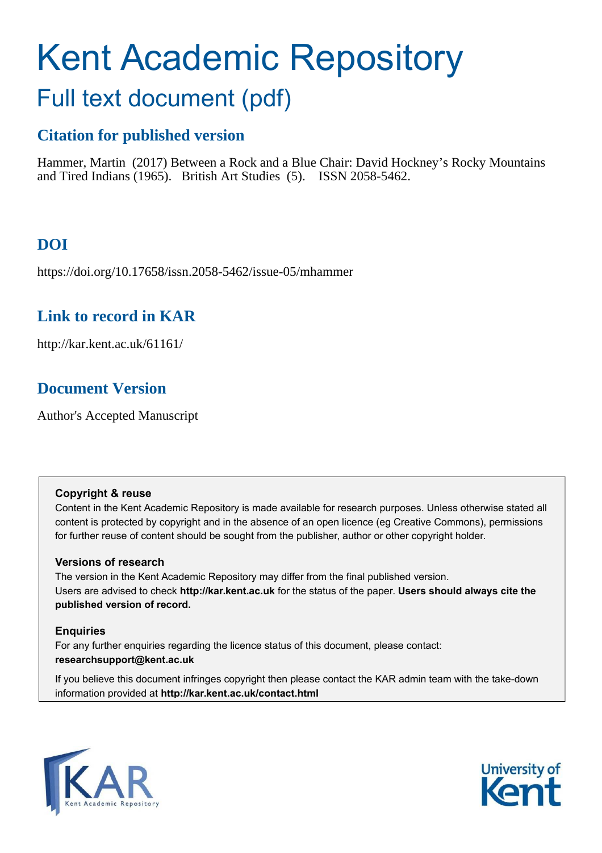# Kent Academic Repository Full text document (pdf)

# **Citation for published version**

Hammer, Martin (2017) Between a Rock and a Blue Chair: David Hockney's Rocky Mountains and Tired Indians (1965). British Art Studies (5). ISSN 2058-5462.

# **DOI**

https://doi.org/10.17658/issn.2058-5462/issue-05/mhammer

## **Link to record in KAR**

http://kar.kent.ac.uk/61161/

## **Document Version**

Author's Accepted Manuscript

#### **Copyright & reuse**

Content in the Kent Academic Repository is made available for research purposes. Unless otherwise stated all content is protected by copyright and in the absence of an open licence (eg Creative Commons), permissions for further reuse of content should be sought from the publisher, author or other copyright holder.

#### **Versions of research**

The version in the Kent Academic Repository may differ from the final published version. Users are advised to check **http://kar.kent.ac.uk** for the status of the paper. **Users should always cite the published version of record.**

#### **Enquiries**

For any further enquiries regarding the licence status of this document, please contact: **researchsupport@kent.ac.uk**

If you believe this document infringes copyright then please contact the KAR admin team with the take-down information provided at **http://kar.kent.ac.uk/contact.html**



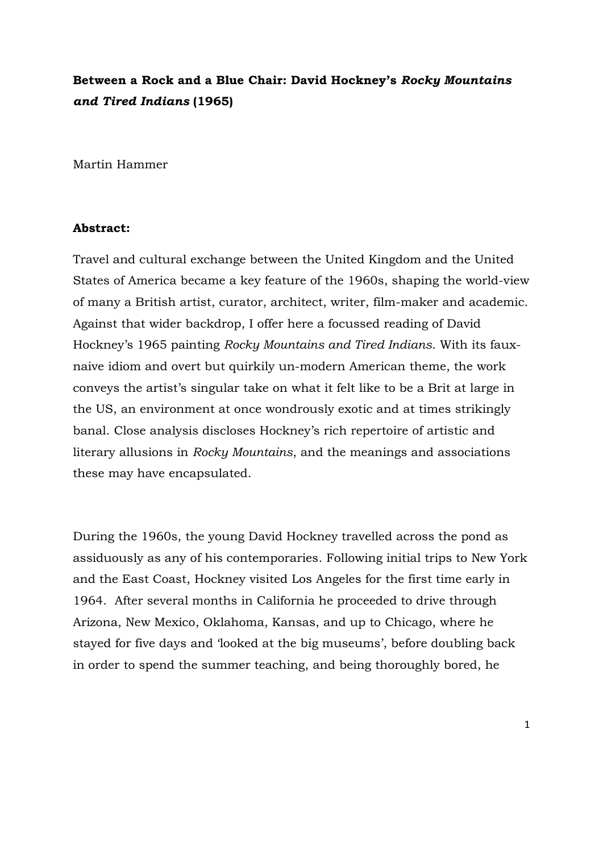### **Between a Rock and a Blue Chair: David Hockney's** *Rocky Mountains and Tired Indians* **(1965)**

Martin Hammer

#### **Abstract:**

Travel and cultural exchange between the United Kingdom and the United States of America became a key feature of the 1960s, shaping the world-view of many a British artist, curator, architect, writer, film-maker and academic. Against that wider backdrop, I offer here a focussed reading of David Hockney's 1965 painting *Rocky Mountains and Tired Indians*. With its fauxnaive idiom and overt but quirkily un-modern American theme, the work conveys the artist's singular take on what it felt like to be a Brit at large in the US, an environment at once wondrously exotic and at times strikingly banal. Close analysis discloses Hockney's rich repertoire of artistic and literary allusions in *Rocky Mountains*, and the meanings and associations these may have encapsulated.

During the 1960s, the young David Hockney travelled across the pond as assiduously as any of his contemporaries. Following initial trips to New York and the East Coast, Hockney visited Los Angeles for the first time early in 1964. After several months in California he proceeded to drive through Arizona, New Mexico, Oklahoma, Kansas, and up to Chicago, where he stayed for five days and 'looked at the big museums', before doubling back in order to spend the summer teaching, and being thoroughly bored, he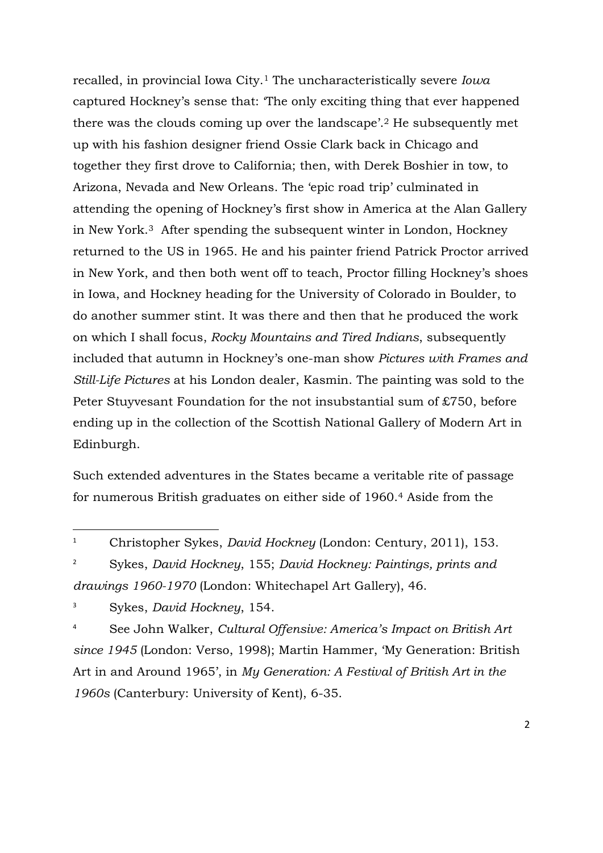recalled, in provincial Iowa City.<sup>1</sup> The uncharacteristically severe *Iowa* captured Hockney's sense that: 'The only exciting thing that ever happened there was the clouds coming up over the landscape'.<sup>2</sup> He subsequently met up with his fashion designer friend Ossie Clark back in Chicago and together they first drove to California; then, with Derek Boshier in tow, to Arizona, Nevada and New Orleans. The 'epic road trip' culminated in attending the opening of Hockney's first show in America at the Alan Gallery in New York.<sup>3</sup> After spending the subsequent winter in London, Hockney returned to the US in 1965. He and his painter friend Patrick Proctor arrived in New York, and then both went off to teach, Proctor filling Hockney's shoes in Iowa, and Hockney heading for the University of Colorado in Boulder, to do another summer stint. It was there and then that he produced the work on which I shall focus, *Rocky Mountains and Tired Indians*, subsequently included that autumn in Hockney's one-man show *Pictures with Frames and Still-Life Pictures* at his London dealer, Kasmin. The painting was sold to the Peter Stuyvesant Foundation for the not insubstantial sum of £750, before ending up in the collection of the Scottish National Gallery of Modern Art in Edinburgh.

Such extended adventures in the States became a veritable rite of passage for numerous British graduates on either side of 1960.<sup>4</sup> Aside from the

2 Sykes, *David Hockney*, 155; *David Hockney: Paintings, prints and drawings 1960-1970* (London: Whitechapel Art Gallery), 46.

 $\overline{a}$ 

4 See John Walker, *Cultural Offensive: America's Impact on British Art since 1945* (London: Verso, 1998); Martin Hammer, 'My Generation: British Art in and Around 1965', in *My Generation: A Festival of British Art in the 1960s* (Canterbury: University of Kent), 6-35.

<sup>1</sup> Christopher Sykes, *David Hockney* (London: Century, 2011), 153.

<sup>3</sup> Sykes, *David Hockney*, 154.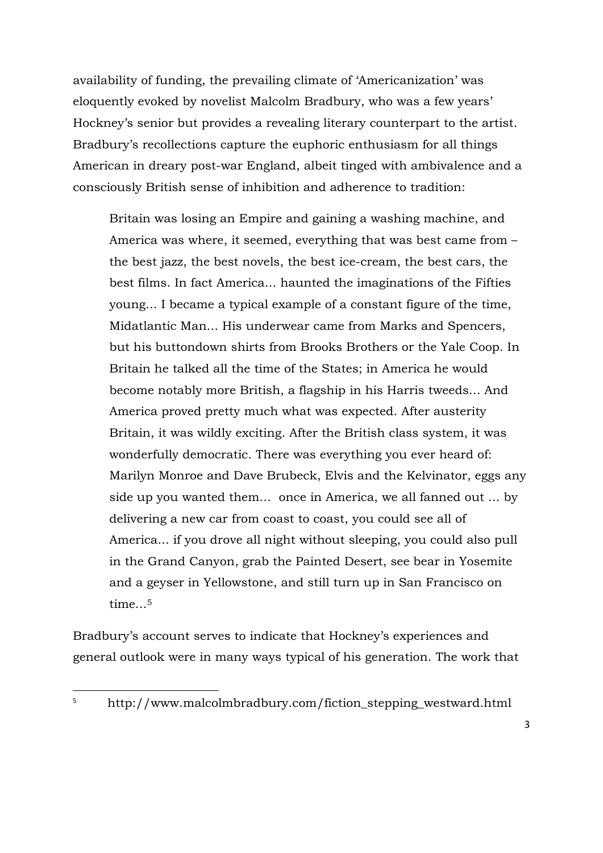availability of funding, the prevailing climate of 'Americanization' was eloquently evoked by novelist Malcolm Bradbury, who was a few years' Hockney's senior but provides a revealing literary counterpart to the artist. Bradbury's recollections capture the euphoric enthusiasm for all things American in dreary post-war England, albeit tinged with ambivalence and a consciously British sense of inhibition and adherence to tradition:

Britain was losing an Empire and gaining a washing machine, and America was where, it seemed, everything that was best came from – the best jazz, the best novels, the best ice-cream, the best cars, the best films. In fact America... haunted the imaginations of the Fifties young... I became a typical example of a constant figure of the time, Midatlantic Man... His underwear came from Marks and Spencers, but his buttondown shirts from Brooks Brothers or the Yale Coop. In Britain he talked all the time of the States; in America he would become notably more British, a flagship in his Harris tweeds... And America proved pretty much what was expected. After austerity Britain, it was wildly exciting. After the British class system, it was wonderfully democratic. There was everything you ever heard of: Marilyn Monroe and Dave Brubeck, Elvis and the Kelvinator, eggs any side up you wanted them... once in America, we all fanned out ... by delivering a new car from coast to coast, you could see all of America... if you drove all night without sleeping, you could also pull in the Grand Canyon, grab the Painted Desert, see bear in Yosemite and a geyser in Yellowstone, and still turn up in San Francisco on time...<sup>5</sup>

Bradbury's account serves to indicate that Hockney's experiences and general outlook were in many ways typical of his generation. The work that

<sup>5</sup> http://www.malcolmbradbury.com/fiction\_stepping\_westward.html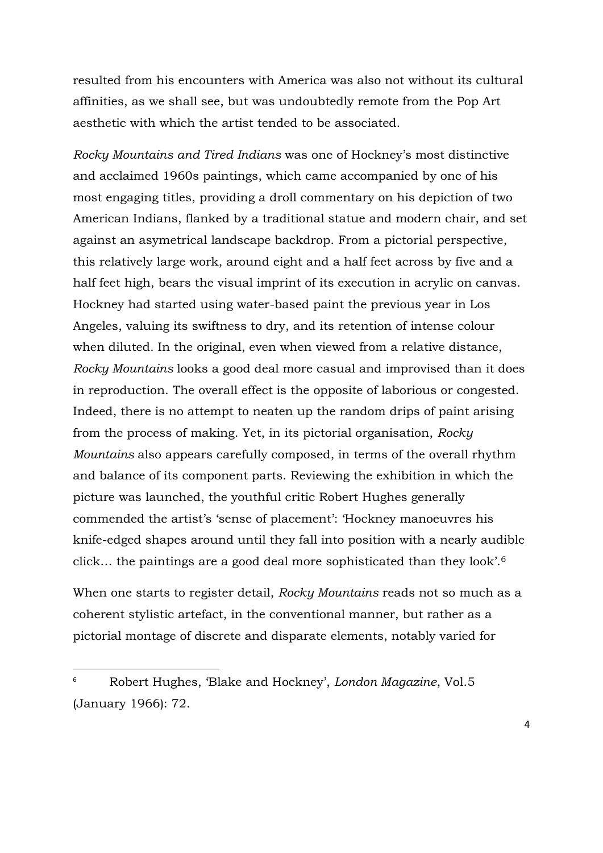resulted from his encounters with America was also not without its cultural affinities, as we shall see, but was undoubtedly remote from the Pop Art aesthetic with which the artist tended to be associated.

*Rocky Mountains and Tired Indians* was one of Hockney's most distinctive and acclaimed 1960s paintings, which came accompanied by one of his most engaging titles, providing a droll commentary on his depiction of two American Indians, flanked by a traditional statue and modern chair, and set against an asymetrical landscape backdrop. From a pictorial perspective, this relatively large work, around eight and a half feet across by five and a half feet high, bears the visual imprint of its execution in acrylic on canvas. Hockney had started using water-based paint the previous year in Los Angeles, valuing its swiftness to dry, and its retention of intense colour when diluted. In the original, even when viewed from a relative distance, *Rocky Mountains* looks a good deal more casual and improvised than it does in reproduction. The overall effect is the opposite of laborious or congested. Indeed, there is no attempt to neaten up the random drips of paint arising from the process of making. Yet, in its pictorial organisation, *Rocky Mountains* also appears carefully composed, in terms of the overall rhythm and balance of its component parts. Reviewing the exhibition in which the picture was launched, the youthful critic Robert Hughes generally commended the artist's 'sense of placement': 'Hockney manoeuvres his knife-edged shapes around until they fall into position with a nearly audible click… the paintings are a good deal more sophisticated than they look'.<sup>6</sup>

When one starts to register detail, *Rocky Mountains* reads not so much as a coherent stylistic artefact, in the conventional manner, but rather as a pictorial montage of discrete and disparate elements, notably varied for

<sup>6</sup> Robert Hughes, 'Blake and Hockney', *London Magazine*, Vol.5 (January 1966): 72.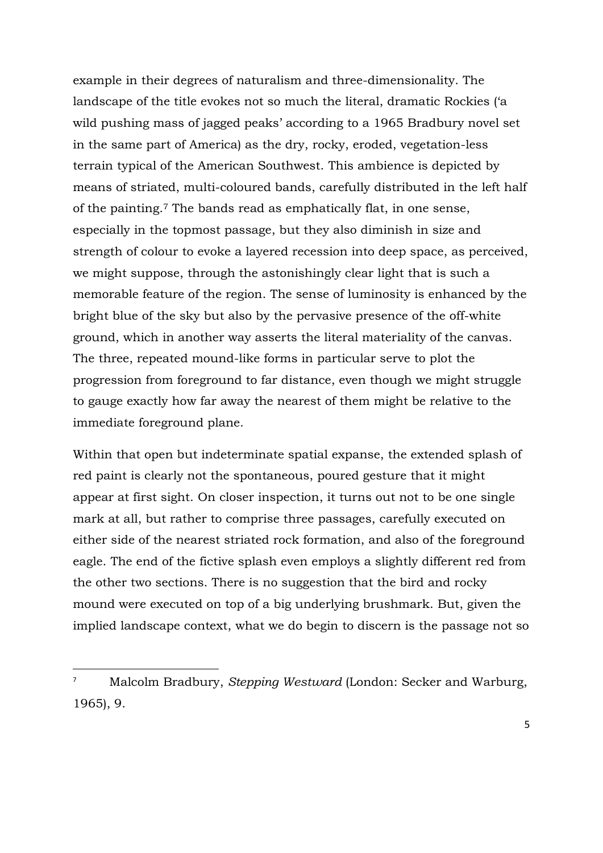example in their degrees of naturalism and three-dimensionality. The landscape of the title evokes not so much the literal, dramatic Rockies ('a wild pushing mass of jagged peaks' according to a 1965 Bradbury novel set in the same part of America) as the dry, rocky, eroded, vegetation-less terrain typical of the American Southwest. This ambience is depicted by means of striated, multi-coloured bands, carefully distributed in the left half of the painting.<sup>7</sup> The bands read as emphatically flat, in one sense, especially in the topmost passage, but they also diminish in size and strength of colour to evoke a layered recession into deep space, as perceived, we might suppose, through the astonishingly clear light that is such a memorable feature of the region. The sense of luminosity is enhanced by the bright blue of the sky but also by the pervasive presence of the off-white ground, which in another way asserts the literal materiality of the canvas. The three, repeated mound-like forms in particular serve to plot the progression from foreground to far distance, even though we might struggle to gauge exactly how far away the nearest of them might be relative to the immediate foreground plane.

Within that open but indeterminate spatial expanse, the extended splash of red paint is clearly not the spontaneous, poured gesture that it might appear at first sight. On closer inspection, it turns out not to be one single mark at all, but rather to comprise three passages, carefully executed on either side of the nearest striated rock formation, and also of the foreground eagle. The end of the fictive splash even employs a slightly different red from the other two sections. There is no suggestion that the bird and rocky mound were executed on top of a big underlying brushmark. But, given the implied landscape context, what we do begin to discern is the passage not so

<sup>7</sup> Malcolm Bradbury, *Stepping Westward* (London: Secker and Warburg, 1965), 9.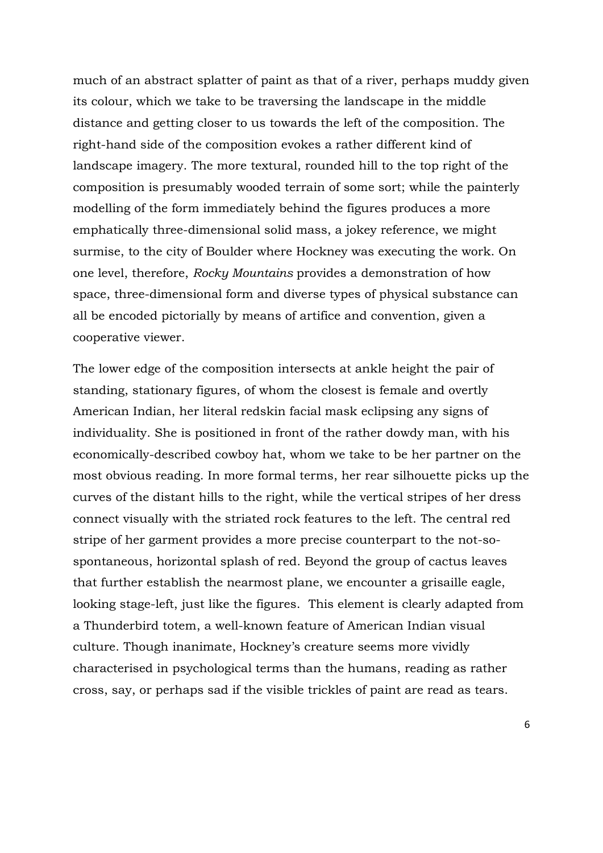much of an abstract splatter of paint as that of a river, perhaps muddy given its colour, which we take to be traversing the landscape in the middle distance and getting closer to us towards the left of the composition. The right-hand side of the composition evokes a rather different kind of landscape imagery. The more textural, rounded hill to the top right of the composition is presumably wooded terrain of some sort; while the painterly modelling of the form immediately behind the figures produces a more emphatically three-dimensional solid mass, a jokey reference, we might surmise, to the city of Boulder where Hockney was executing the work. On one level, therefore, *Rocky Mountains* provides a demonstration of how space, three-dimensional form and diverse types of physical substance can all be encoded pictorially by means of artifice and convention, given a cooperative viewer.

The lower edge of the composition intersects at ankle height the pair of standing, stationary figures, of whom the closest is female and overtly American Indian, her literal redskin facial mask eclipsing any signs of individuality. She is positioned in front of the rather dowdy man, with his economically-described cowboy hat, whom we take to be her partner on the most obvious reading. In more formal terms, her rear silhouette picks up the curves of the distant hills to the right, while the vertical stripes of her dress connect visually with the striated rock features to the left. The central red stripe of her garment provides a more precise counterpart to the not-sospontaneous, horizontal splash of red. Beyond the group of cactus leaves that further establish the nearmost plane, we encounter a grisaille eagle, looking stage-left, just like the figures. This element is clearly adapted from a Thunderbird totem, a well-known feature of American Indian visual culture. Though inanimate, Hockney's creature seems more vividly characterised in psychological terms than the humans, reading as rather cross, say, or perhaps sad if the visible trickles of paint are read as tears.

6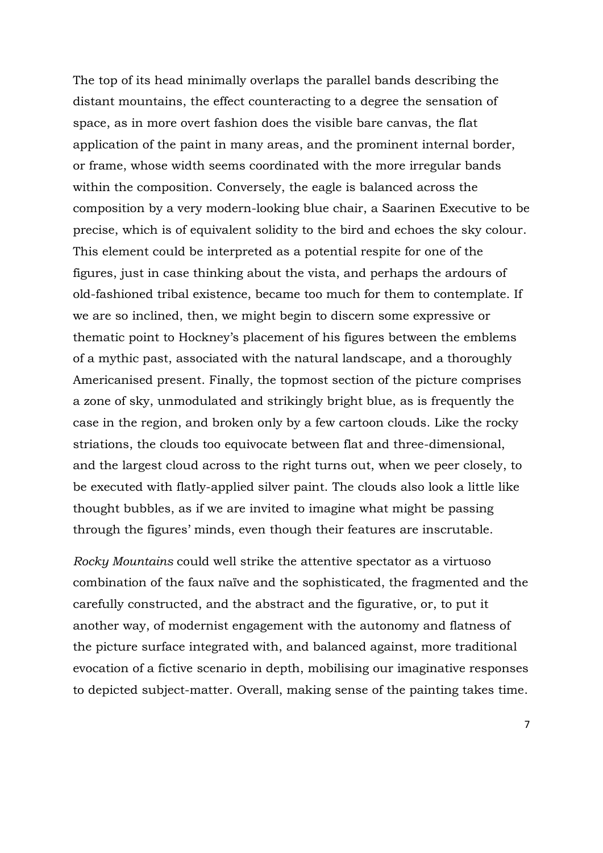The top of its head minimally overlaps the parallel bands describing the distant mountains, the effect counteracting to a degree the sensation of space, as in more overt fashion does the visible bare canvas, the flat application of the paint in many areas, and the prominent internal border, or frame, whose width seems coordinated with the more irregular bands within the composition. Conversely, the eagle is balanced across the composition by a very modern-looking blue chair, a Saarinen Executive to be precise, which is of equivalent solidity to the bird and echoes the sky colour. This element could be interpreted as a potential respite for one of the figures, just in case thinking about the vista, and perhaps the ardours of old-fashioned tribal existence, became too much for them to contemplate. If we are so inclined, then, we might begin to discern some expressive or thematic point to Hockney's placement of his figures between the emblems of a mythic past, associated with the natural landscape, and a thoroughly Americanised present. Finally, the topmost section of the picture comprises a zone of sky, unmodulated and strikingly bright blue, as is frequently the case in the region, and broken only by a few cartoon clouds. Like the rocky striations, the clouds too equivocate between flat and three-dimensional, and the largest cloud across to the right turns out, when we peer closely, to be executed with flatly-applied silver paint. The clouds also look a little like thought bubbles, as if we are invited to imagine what might be passing through the figures' minds, even though their features are inscrutable.

*Rocky Mountains* could well strike the attentive spectator as a virtuoso combination of the faux naïve and the sophisticated, the fragmented and the carefully constructed, and the abstract and the figurative, or, to put it another way, of modernist engagement with the autonomy and flatness of the picture surface integrated with, and balanced against, more traditional evocation of a fictive scenario in depth, mobilising our imaginative responses to depicted subject-matter. Overall, making sense of the painting takes time.

7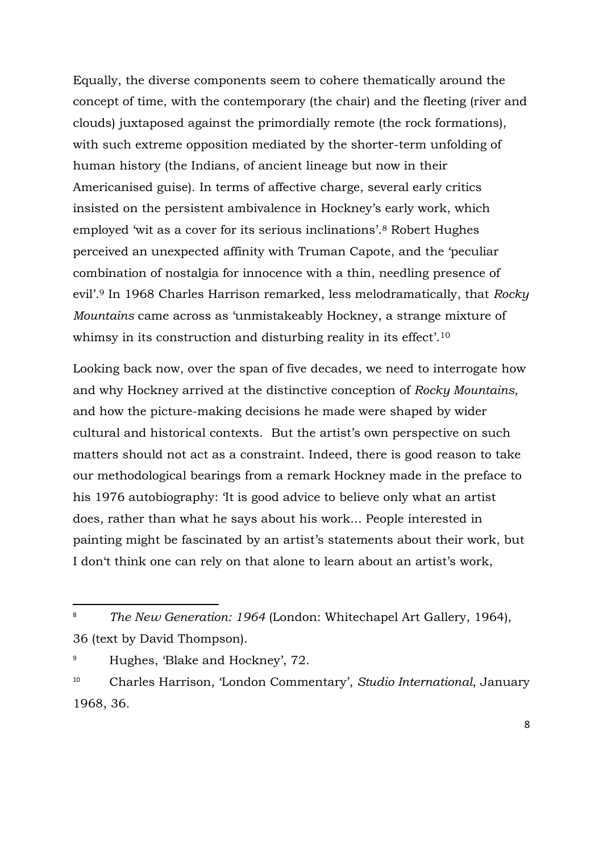Equally, the diverse components seem to cohere thematically around the concept of time, with the contemporary (the chair) and the fleeting (river and clouds) juxtaposed against the primordially remote (the rock formations), with such extreme opposition mediated by the shorter-term unfolding of human history (the Indians, of ancient lineage but now in their Americanised guise). In terms of affective charge, several early critics insisted on the persistent ambivalence in Hockney's early work, which employed 'wit as a cover for its serious inclinations'.<sup>8</sup> Robert Hughes perceived an unexpected affinity with Truman Capote, and the 'peculiar combination of nostalgia for innocence with a thin, needling presence of evil'.<sup>9</sup> In 1968 Charles Harrison remarked, less melodramatically, that *Rocky Mountains* came across as 'unmistakeably Hockney, a strange mixture of whimsy in its construction and disturbing reality in its effect'.<sup>10</sup>

Looking back now, over the span of five decades, we need to interrogate how and why Hockney arrived at the distinctive conception of *Rocky Mountains*, and how the picture-making decisions he made were shaped by wider cultural and historical contexts. But the artist's own perspective on such matters should not act as a constraint. Indeed, there is good reason to take our methodological bearings from a remark Hockney made in the preface to his 1976 autobiography: 'It is good advice to believe only what an artist does, rather than what he says about his work... People interested in painting might be fascinated by an artist's statements about their work, but I don't think one can rely on that alone to learn about an artist's work,

<sup>8</sup> *The New Generation: 1964* (London: Whitechapel Art Gallery, 1964), 36 (text by David Thompson).

<sup>9</sup> Hughes, 'Blake and Hockney', 72.

<sup>10</sup> Charles Harrison, 'London Commentary', *Studio International*, January 1968, 36.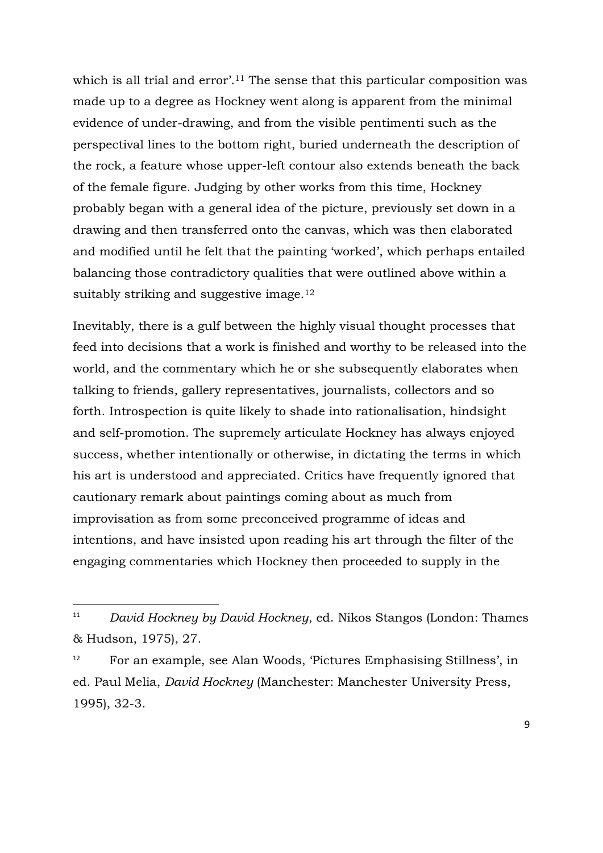which is all trial and error<sup>'.11</sup> The sense that this particular composition was made up to a degree as Hockney went along is apparent from the minimal evidence of under-drawing, and from the visible pentimenti such as the perspectival lines to the bottom right, buried underneath the description of the rock, a feature whose upper-left contour also extends beneath the back of the female figure. Judging by other works from this time, Hockney probably began with a general idea of the picture, previously set down in a drawing and then transferred onto the canvas, which was then elaborated and modified until he felt that the painting 'worked', which perhaps entailed balancing those contradictory qualities that were outlined above within a suitably striking and suggestive image.<sup>12</sup>

Inevitably, there is a gulf between the highly visual thought processes that feed into decisions that a work is finished and worthy to be released into the world, and the commentary which he or she subsequently elaborates when talking to friends, gallery representatives, journalists, collectors and so forth. Introspection is quite likely to shade into rationalisation, hindsight and self-promotion. The supremely articulate Hockney has always enjoyed success, whether intentionally or otherwise, in dictating the terms in which his art is understood and appreciated. Critics have frequently ignored that cautionary remark about paintings coming about as much from improvisation as from some preconceived programme of ideas and intentions, and have insisted upon reading his art through the filter of the engaging commentaries which Hockney then proceeded to supply in the

<sup>11</sup> *David Hockney by David Hockney*, ed. Nikos Stangos (London: Thames & Hudson, 1975), 27.

<sup>12</sup> For an example, see Alan Woods, 'Pictures Emphasising Stillness', in ed. Paul Melia, *David Hockney* (Manchester: Manchester University Press, 1995), 32-3.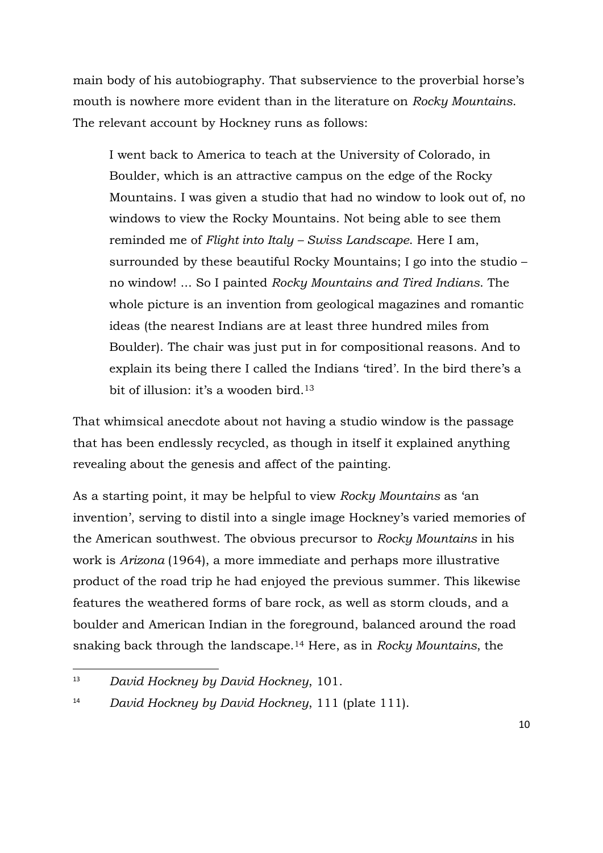main body of his autobiography. That subservience to the proverbial horse's mouth is nowhere more evident than in the literature on *Rocky Mountains*. The relevant account by Hockney runs as follows:

I went back to America to teach at the University of Colorado, in Boulder, which is an attractive campus on the edge of the Rocky Mountains. I was given a studio that had no window to look out of, no windows to view the Rocky Mountains. Not being able to see them reminded me of *Flight into Italy – Swiss Landscape*. Here I am, surrounded by these beautiful Rocky Mountains; I go into the studio – no window! ... So I painted *Rocky Mountains and Tired Indians*. The whole picture is an invention from geological magazines and romantic ideas (the nearest Indians are at least three hundred miles from Boulder). The chair was just put in for compositional reasons. And to explain its being there I called the Indians 'tired'. In the bird there's a bit of illusion: it's a wooden bird.<sup>13</sup>

That whimsical anecdote about not having a studio window is the passage that has been endlessly recycled, as though in itself it explained anything revealing about the genesis and affect of the painting.

As a starting point, it may be helpful to view *Rocky Mountains* as 'an invention', serving to distil into a single image Hockney's varied memories of the American southwest. The obvious precursor to *Rocky Mountains* in his work is *Arizona* (1964), a more immediate and perhaps more illustrative product of the road trip he had enjoyed the previous summer. This likewise features the weathered forms of bare rock, as well as storm clouds, and a boulder and American Indian in the foreground, balanced around the road snaking back through the landscape.<sup>14</sup> Here, as in *Rocky Mountains*, the

<sup>13</sup> *David Hockney by David Hockney*, 101.

<sup>14</sup> *David Hockney by David Hockney*, 111 (plate 111).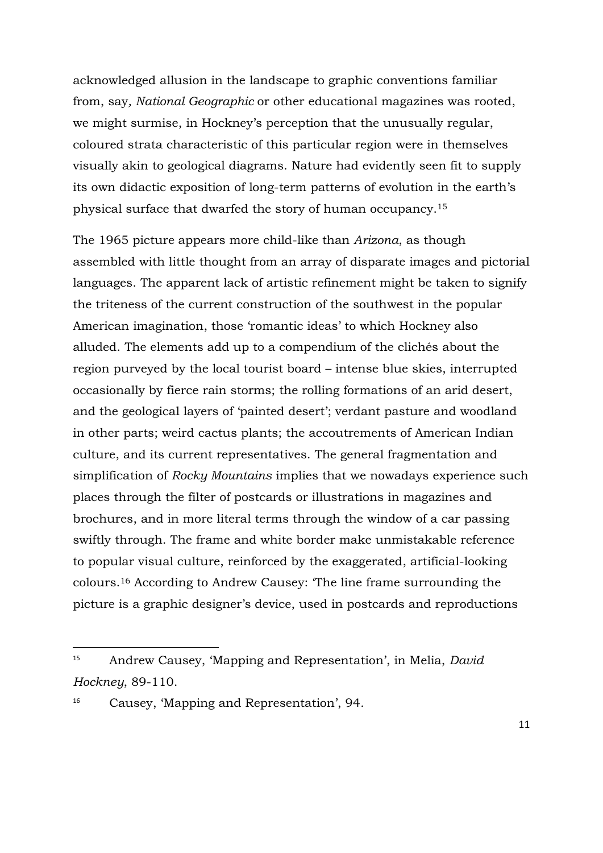acknowledged allusion in the landscape to graphic conventions familiar from, say*, National Geographic* or other educational magazines was rooted, we might surmise, in Hockney's perception that the unusually regular, coloured strata characteristic of this particular region were in themselves visually akin to geological diagrams. Nature had evidently seen fit to supply its own didactic exposition of long-term patterns of evolution in the earth's physical surface that dwarfed the story of human occupancy.<sup>15</sup>

The 1965 picture appears more child-like than *Arizona*, as though assembled with little thought from an array of disparate images and pictorial languages. The apparent lack of artistic refinement might be taken to signify the triteness of the current construction of the southwest in the popular American imagination, those 'romantic ideas' to which Hockney also alluded. The elements add up to a compendium of the clichés about the region purveyed by the local tourist board – intense blue skies, interrupted occasionally by fierce rain storms; the rolling formations of an arid desert, and the geological layers of 'painted desert'; verdant pasture and woodland in other parts; weird cactus plants; the accoutrements of American Indian culture, and its current representatives. The general fragmentation and simplification of *Rocky Mountains* implies that we nowadays experience such places through the filter of postcards or illustrations in magazines and brochures, and in more literal terms through the window of a car passing swiftly through. The frame and white border make unmistakable reference to popular visual culture, reinforced by the exaggerated, artificial-looking colours.<sup>16</sup> According to Andrew Causey: 'The line frame surrounding the picture is a graphic designer's device, used in postcards and reproductions

<sup>15</sup> Andrew Causey, 'Mapping and Representation', in Melia, *David Hockney*, 89-110.

<sup>16</sup> Causey, 'Mapping and Representation', 94.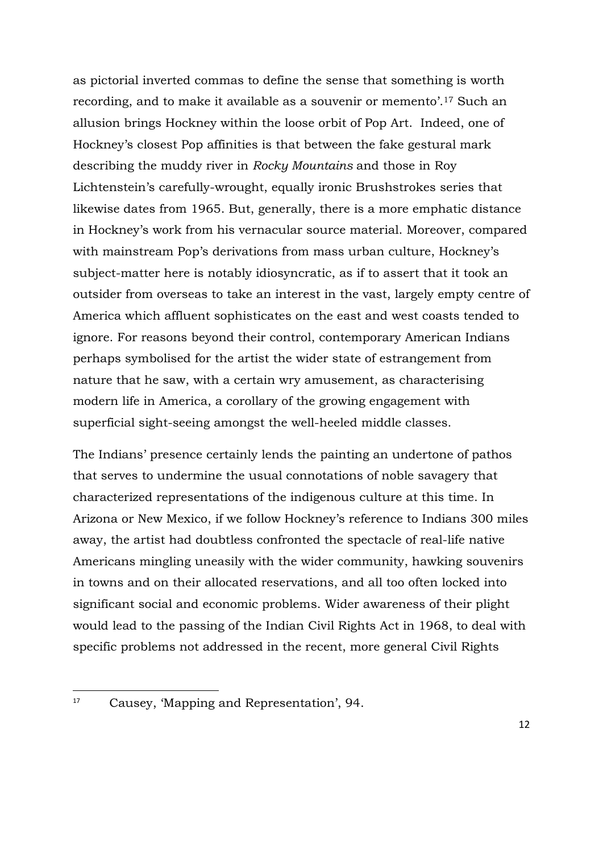as pictorial inverted commas to define the sense that something is worth recording, and to make it available as a souvenir or memento'.<sup>17</sup> Such an allusion brings Hockney within the loose orbit of Pop Art. Indeed, one of Hockney's closest Pop affinities is that between the fake gestural mark describing the muddy river in *Rocky Mountains* and those in Roy Lichtenstein's carefully-wrought, equally ironic Brushstrokes series that likewise dates from 1965. But, generally, there is a more emphatic distance in Hockney's work from his vernacular source material. Moreover, compared with mainstream Pop's derivations from mass urban culture, Hockney's subject-matter here is notably idiosyncratic, as if to assert that it took an outsider from overseas to take an interest in the vast, largely empty centre of America which affluent sophisticates on the east and west coasts tended to ignore. For reasons beyond their control, contemporary American Indians perhaps symbolised for the artist the wider state of estrangement from nature that he saw, with a certain wry amusement, as characterising modern life in America, a corollary of the growing engagement with superficial sight-seeing amongst the well-heeled middle classes.

The Indians' presence certainly lends the painting an undertone of pathos that serves to undermine the usual connotations of noble savagery that characterized representations of the indigenous culture at this time. In Arizona or New Mexico, if we follow Hockney's reference to Indians 300 miles away, the artist had doubtless confronted the spectacle of real-life native Americans mingling uneasily with the wider community, hawking souvenirs in towns and on their allocated reservations, and all too often locked into significant social and economic problems. Wider awareness of their plight would lead to the passing of the Indian Civil Rights Act in 1968, to deal with specific problems not addressed in the recent, more general Civil Rights

<sup>17</sup> Causey, 'Mapping and Representation', 94.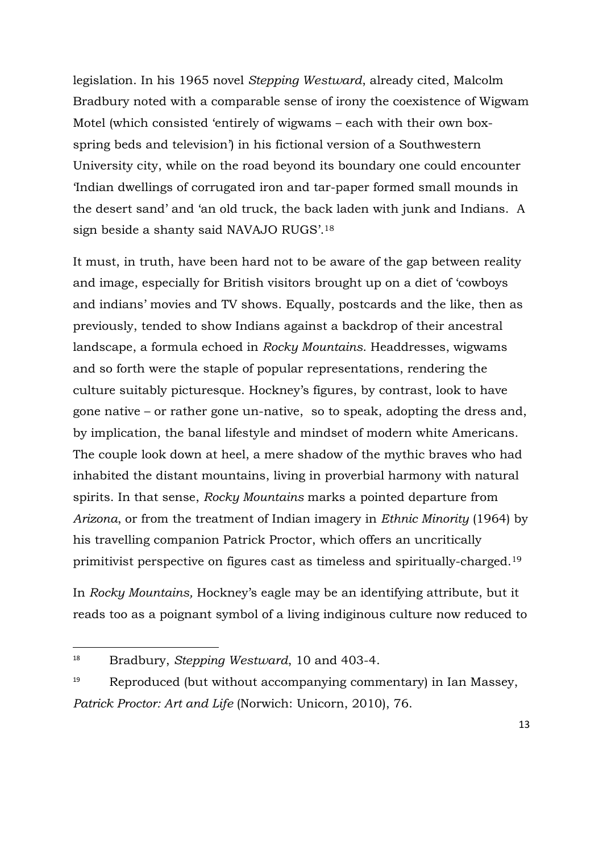legislation. In his 1965 novel *Stepping Westward*, already cited, Malcolm Bradbury noted with a comparable sense of irony the coexistence of Wigwam Motel (which consisted 'entirely of wigwams – each with their own boxspring beds and television') in his fictional version of a Southwestern University city, while on the road beyond its boundary one could encounter 'Indian dwellings of corrugated iron and tar-paper formed small mounds in the desert sand' and 'an old truck, the back laden with junk and Indians. A sign beside a shanty said NAVAJO RUGS'.<sup>18</sup>

It must, in truth, have been hard not to be aware of the gap between reality and image, especially for British visitors brought up on a diet of 'cowboys and indians' movies and TV shows. Equally, postcards and the like, then as previously, tended to show Indians against a backdrop of their ancestral landscape, a formula echoed in *Rocky Mountains*. Headdresses, wigwams and so forth were the staple of popular representations, rendering the culture suitably picturesque. Hockney's figures, by contrast, look to have gone native – or rather gone un-native, so to speak, adopting the dress and, by implication, the banal lifestyle and mindset of modern white Americans. The couple look down at heel, a mere shadow of the mythic braves who had inhabited the distant mountains, living in proverbial harmony with natural spirits. In that sense, *Rocky Mountains* marks a pointed departure from *Arizona*, or from the treatment of Indian imagery in *Ethnic Minority* (1964) by his travelling companion Patrick Proctor, which offers an uncritically primitivist perspective on figures cast as timeless and spiritually-charged.<sup>19</sup>

In *Rocky Mountains,* Hockney's eagle may be an identifying attribute, but it reads too as a poignant symbol of a living indiginous culture now reduced to

<sup>18</sup> Bradbury, *Stepping Westward*, 10 and 403-4.

<sup>19</sup> Reproduced (but without accompanying commentary) in Ian Massey, *Patrick Proctor: Art and Life* (Norwich: Unicorn, 2010), 76.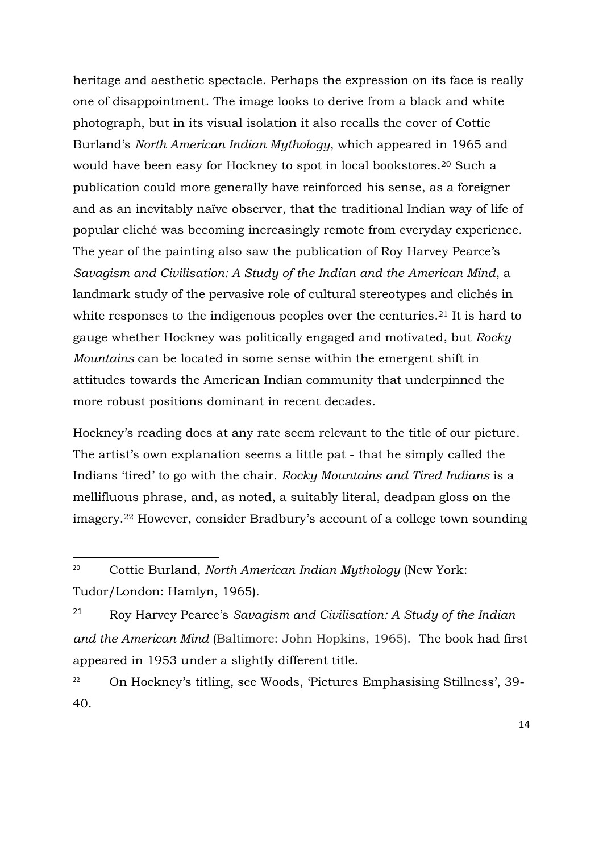heritage and aesthetic spectacle. Perhaps the expression on its face is really one of disappointment. The image looks to derive from a black and white photograph, but in its visual isolation it also recalls the cover of Cottie Burland's *North American Indian Mythology*, which appeared in 1965 and would have been easy for Hockney to spot in local bookstores.<sup>20</sup> Such a publication could more generally have reinforced his sense, as a foreigner and as an inevitably naïve observer, that the traditional Indian way of life of popular clichÈ was becoming increasingly remote from everyday experience. The year of the painting also saw the publication of Roy Harvey Pearce's *Savagism and Civilisation: A Study of the Indian and the American Mind*, a landmark study of the pervasive role of cultural stereotypes and clichés in white responses to the indigenous peoples over the centuries.<sup>21</sup> It is hard to gauge whether Hockney was politically engaged and motivated, but *Rocky Mountains* can be located in some sense within the emergent shift in attitudes towards the American Indian community that underpinned the more robust positions dominant in recent decades.

Hockney's reading does at any rate seem relevant to the title of our picture. The artist's own explanation seems a little pat - that he simply called the Indians 'tired' to go with the chair. *Rocky Mountains and Tired Indians* is a mellifluous phrase, and, as noted, a suitably literal, deadpan gloss on the imagery.<sup>22</sup> However, consider Bradbury's account of a college town sounding

<sup>20</sup> Cottie Burland, *North American Indian Mythology* (New York: Tudor/London: Hamlyn, 1965).

<sup>21</sup> Roy Harvey Pearce's *Savagism and Civilisation: A Study of the Indian and the American Mind* (Baltimore: John Hopkins, 1965). The book had first appeared in 1953 under a slightly different title.

<sup>22</sup> On Hockney's titling, see Woods, 'Pictures Emphasising Stillness', 39- 40.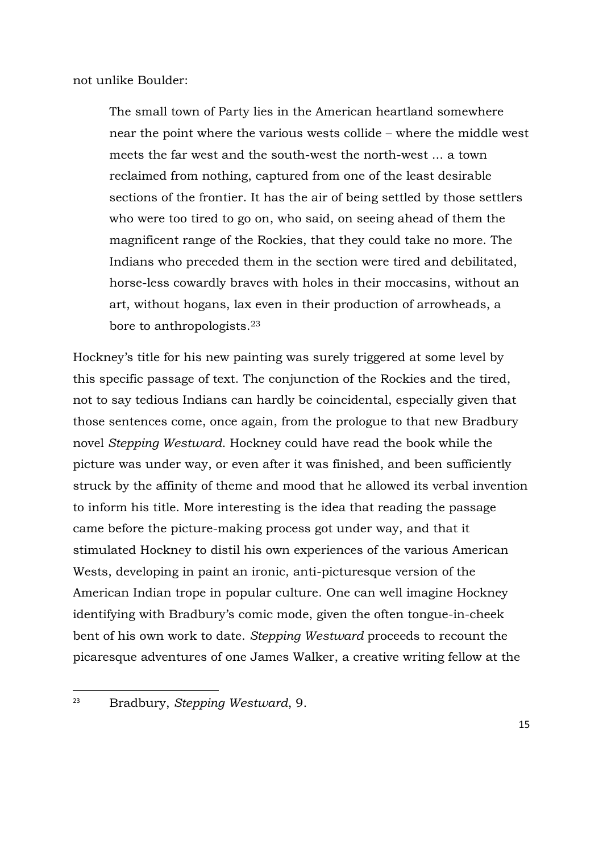not unlike Boulder:

The small town of Party lies in the American heartland somewhere near the point where the various wests collide – where the middle west meets the far west and the south-west the north-west ... a town reclaimed from nothing, captured from one of the least desirable sections of the frontier. It has the air of being settled by those settlers who were too tired to go on, who said, on seeing ahead of them the magnificent range of the Rockies, that they could take no more. The Indians who preceded them in the section were tired and debilitated, horse-less cowardly braves with holes in their moccasins, without an art, without hogans, lax even in their production of arrowheads, a bore to anthropologists.<sup>23</sup>

Hockney's title for his new painting was surely triggered at some level by this specific passage of text. The conjunction of the Rockies and the tired, not to say tedious Indians can hardly be coincidental, especially given that those sentences come, once again, from the prologue to that new Bradbury novel *Stepping Westward*. Hockney could have read the book while the picture was under way, or even after it was finished, and been sufficiently struck by the affinity of theme and mood that he allowed its verbal invention to inform his title. More interesting is the idea that reading the passage came before the picture-making process got under way, and that it stimulated Hockney to distil his own experiences of the various American Wests, developing in paint an ironic, anti-picturesque version of the American Indian trope in popular culture. One can well imagine Hockney identifying with Bradbury's comic mode, given the often tongue-in-cheek bent of his own work to date. *Stepping Westward* proceeds to recount the picaresque adventures of one James Walker, a creative writing fellow at the

<sup>23</sup> Bradbury, *Stepping Westward*, 9.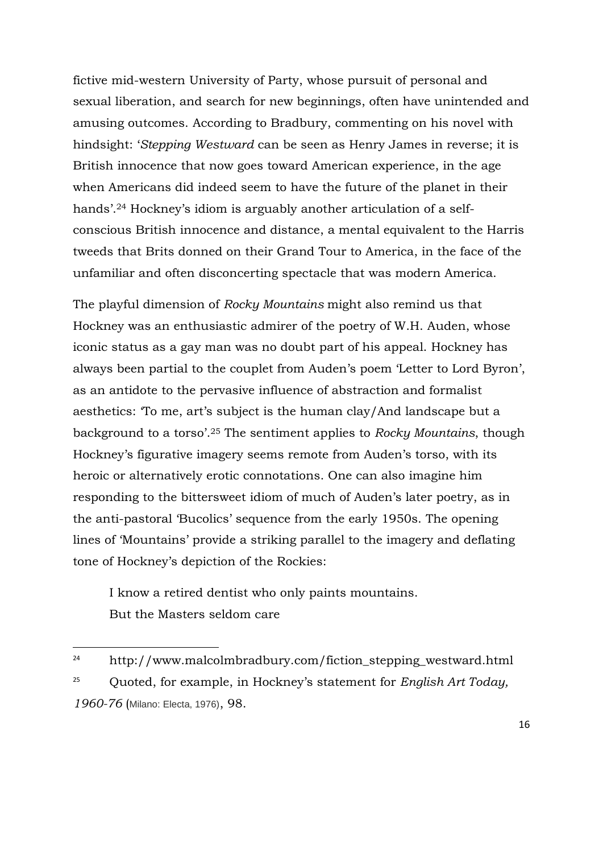fictive mid-western University of Party, whose pursuit of personal and sexual liberation, and search for new beginnings, often have unintended and amusing outcomes. According to Bradbury, commenting on his novel with hindsight: '*Stepping Westward* can be seen as Henry James in reverse; it is British innocence that now goes toward American experience, in the age when Americans did indeed seem to have the future of the planet in their hands'.<sup>24</sup> Hockney's idiom is arguably another articulation of a selfconscious British innocence and distance, a mental equivalent to the Harris tweeds that Brits donned on their Grand Tour to America, in the face of the unfamiliar and often disconcerting spectacle that was modern America.

The playful dimension of *Rocky Mountains* might also remind us that Hockney was an enthusiastic admirer of the poetry of W.H. Auden, whose iconic status as a gay man was no doubt part of his appeal. Hockney has always been partial to the couplet from Auden's poem 'Letter to Lord Byron', as an antidote to the pervasive influence of abstraction and formalist aesthetics: 'To me, art's subject is the human clay/And landscape but a background to a torso'.<sup>25</sup> The sentiment applies to *Rocky Mountains*, though Hockney's figurative imagery seems remote from Auden's torso, with its heroic or alternatively erotic connotations. One can also imagine him responding to the bittersweet idiom of much of Auden's later poetry, as in the anti-pastoral 'Bucolics' sequence from the early 1950s. The opening lines of 'Mountains' provide a striking parallel to the imagery and deflating tone of Hockney's depiction of the Rockies:

I know a retired dentist who only paints mountains. But the Masters seldom care

<sup>24</sup> http://www.malcolmbradbury.com/fiction\_stepping\_westward.html 25 Quoted, for example, in Hockney's statement for *English Art Today, 1960-76* (Milano: Electa, 1976), 98.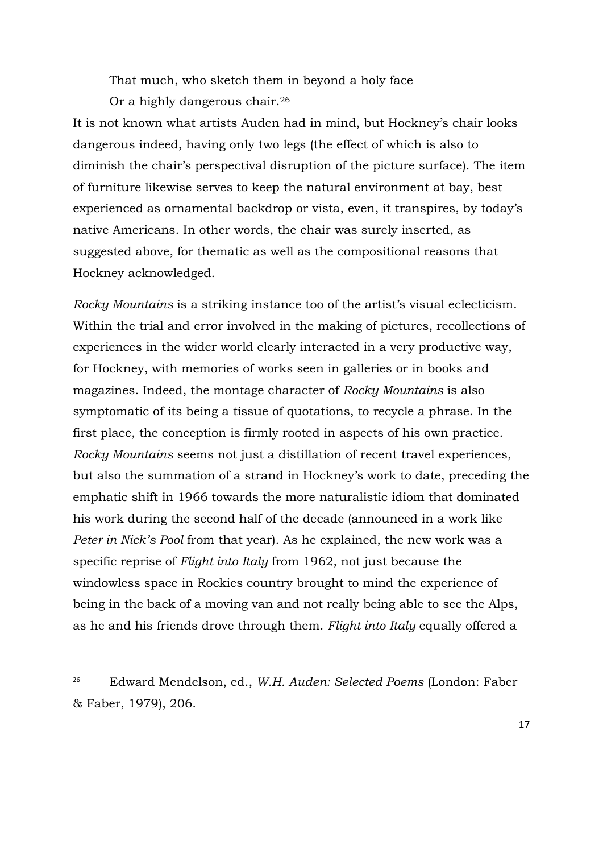That much, who sketch them in beyond a holy face

Or a highly dangerous chair.<sup>26</sup>

It is not known what artists Auden had in mind, but Hockney's chair looks dangerous indeed, having only two legs (the effect of which is also to diminish the chair's perspectival disruption of the picture surface). The item of furniture likewise serves to keep the natural environment at bay, best experienced as ornamental backdrop or vista, even, it transpires, by today's native Americans. In other words, the chair was surely inserted, as suggested above, for thematic as well as the compositional reasons that Hockney acknowledged.

*Rocky Mountains* is a striking instance too of the artist's visual eclecticism. Within the trial and error involved in the making of pictures, recollections of experiences in the wider world clearly interacted in a very productive way, for Hockney, with memories of works seen in galleries or in books and magazines. Indeed, the montage character of *Rocky Mountains* is also symptomatic of its being a tissue of quotations, to recycle a phrase. In the first place, the conception is firmly rooted in aspects of his own practice. *Rocky Mountains* seems not just a distillation of recent travel experiences, but also the summation of a strand in Hockney's work to date, preceding the emphatic shift in 1966 towards the more naturalistic idiom that dominated his work during the second half of the decade (announced in a work like *Peter in Nick's Pool* from that year). As he explained, the new work was a specific reprise of *Flight into Italy* from 1962, not just because the windowless space in Rockies country brought to mind the experience of being in the back of a moving van and not really being able to see the Alps, as he and his friends drove through them. *Flight into Italy* equally offered a

<sup>26</sup> Edward Mendelson, ed., *W.H. Auden: Selected Poems* (London: Faber & Faber, 1979), 206.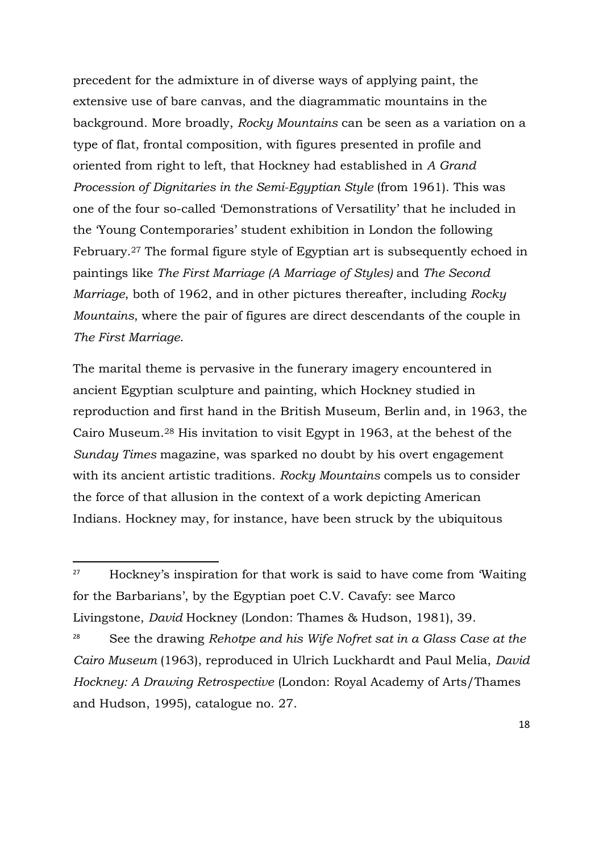precedent for the admixture in of diverse ways of applying paint, the extensive use of bare canvas, and the diagrammatic mountains in the background. More broadly, *Rocky Mountains* can be seen as a variation on a type of flat, frontal composition, with figures presented in profile and oriented from right to left, that Hockney had established in *A Grand Procession of Dignitaries in the Semi-Egyptian Style* (from 1961). This was one of the four so-called 'Demonstrations of Versatility' that he included in the 'Young Contemporaries' student exhibition in London the following February.<sup>27</sup> The formal figure style of Egyptian art is subsequently echoed in paintings like *The First Marriage (A Marriage of Styles)* and *The Second Marriage*, both of 1962, and in other pictures thereafter, including *Rocky Mountains*, where the pair of figures are direct descendants of the couple in *The First Marriage*.

The marital theme is pervasive in the funerary imagery encountered in ancient Egyptian sculpture and painting, which Hockney studied in reproduction and first hand in the British Museum, Berlin and, in 1963, the Cairo Museum.<sup>28</sup> His invitation to visit Egypt in 1963, at the behest of the *Sunday Times* magazine, was sparked no doubt by his overt engagement with its ancient artistic traditions. *Rocky Mountains* compels us to consider the force of that allusion in the context of a work depicting American Indians. Hockney may, for instance, have been struck by the ubiquitous

<sup>27</sup> Hockney's inspiration for that work is said to have come from 'Waiting for the Barbarians', by the Egyptian poet C.V. Cavafy: see Marco Livingstone, *David* Hockney (London: Thames & Hudson, 1981), 39.

<sup>28</sup> See the drawing *Rehotpe and his Wife Nofret sat in a Glass Case at the Cairo Museum* (1963), reproduced in Ulrich Luckhardt and Paul Melia, *David Hockney: A Drawing Retrospective* (London: Royal Academy of Arts/Thames and Hudson, 1995), catalogue no. 27.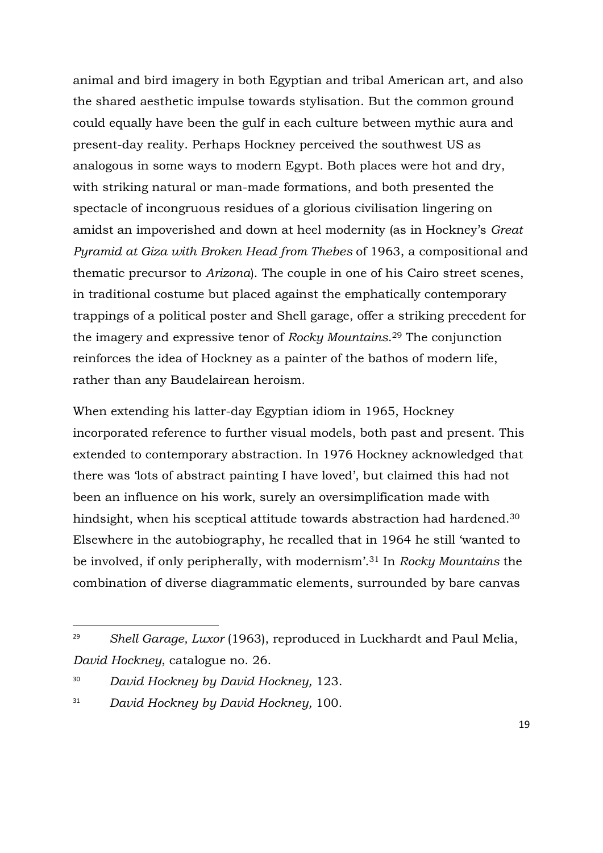animal and bird imagery in both Egyptian and tribal American art, and also the shared aesthetic impulse towards stylisation. But the common ground could equally have been the gulf in each culture between mythic aura and present-day reality. Perhaps Hockney perceived the southwest US as analogous in some ways to modern Egypt. Both places were hot and dry, with striking natural or man-made formations, and both presented the spectacle of incongruous residues of a glorious civilisation lingering on amidst an impoverished and down at heel modernity (as in Hockney's *Great Pyramid at Giza with Broken Head from Thebes* of 1963, a compositional and thematic precursor to *Arizona*). The couple in one of his Cairo street scenes, in traditional costume but placed against the emphatically contemporary trappings of a political poster and Shell garage, offer a striking precedent for the imagery and expressive tenor of *Rocky Mountains*. <sup>29</sup> The conjunction reinforces the idea of Hockney as a painter of the bathos of modern life, rather than any Baudelairean heroism.

When extending his latter-day Egyptian idiom in 1965, Hockney incorporated reference to further visual models, both past and present. This extended to contemporary abstraction. In 1976 Hockney acknowledged that there was 'lots of abstract painting I have loved', but claimed this had not been an influence on his work, surely an oversimplification made with hindsight, when his sceptical attitude towards abstraction had hardened.<sup>30</sup> Elsewhere in the autobiography, he recalled that in 1964 he still 'wanted to be involved, if only peripherally, with modernism'.<sup>31</sup> In *Rocky Mountains* the combination of diverse diagrammatic elements, surrounded by bare canvas

<sup>29</sup> *Shell Garage, Luxor* (1963), reproduced in Luckhardt and Paul Melia, *David Hockney*, catalogue no. 26.

<sup>30</sup> *David Hockney by David Hockney,* 123.

<sup>31</sup> *David Hockney by David Hockney,* 100.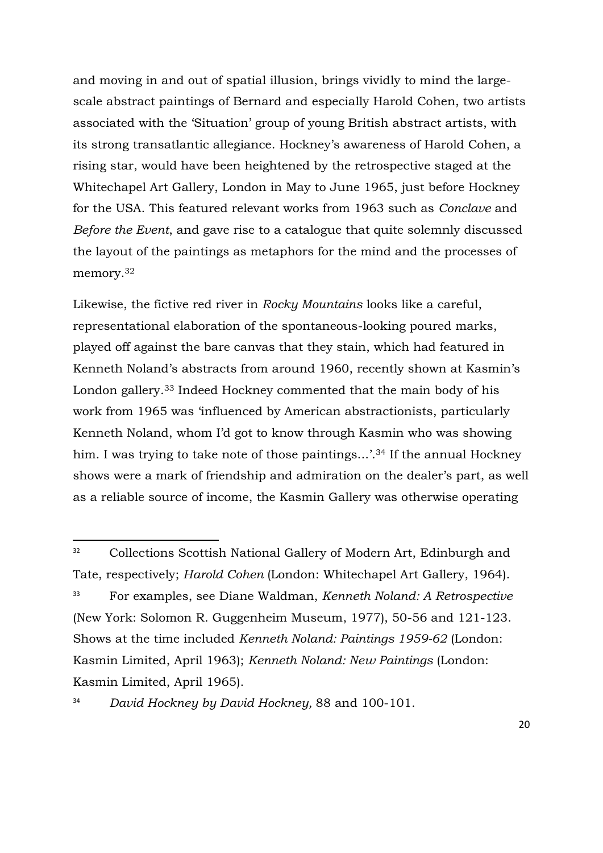and moving in and out of spatial illusion, brings vividly to mind the largescale abstract paintings of Bernard and especially Harold Cohen, two artists associated with the 'Situation' group of young British abstract artists, with its strong transatlantic allegiance. Hockney's awareness of Harold Cohen, a rising star, would have been heightened by the retrospective staged at the Whitechapel Art Gallery, London in May to June 1965, just before Hockney for the USA. This featured relevant works from 1963 such as *Conclave* and *Before the Event*, and gave rise to a catalogue that quite solemnly discussed the layout of the paintings as metaphors for the mind and the processes of memory.<sup>32</sup>

Likewise, the fictive red river in *Rocky Mountains* looks like a careful, representational elaboration of the spontaneous-looking poured marks, played off against the bare canvas that they stain, which had featured in Kenneth Noland's abstracts from around 1960, recently shown at Kasmin's London gallery.<sup>33</sup> Indeed Hockney commented that the main body of his work from 1965 was 'influenced by American abstractionists, particularly Kenneth Noland, whom I'd got to know through Kasmin who was showing him. I was trying to take note of those paintings...'.<sup>34</sup> If the annual Hockney shows were a mark of friendship and admiration on the dealer's part, as well as a reliable source of income, the Kasmin Gallery was otherwise operating

<sup>&</sup>lt;sup>32</sup> Collections Scottish National Gallery of Modern Art, Edinburgh and Tate, respectively; *Harold Cohen* (London: Whitechapel Art Gallery, 1964). 33 For examples, see Diane Waldman, *Kenneth Noland: A Retrospective*  (New York: Solomon R. Guggenheim Museum, 1977), 50-56 and 121-123. Shows at the time included *Kenneth Noland: Paintings 1959-62* (London: Kasmin Limited, April 1963); *Kenneth Noland: New Paintings* (London: Kasmin Limited, April 1965).

<sup>34</sup> *David Hockney by David Hockney,* 88 and 100-101.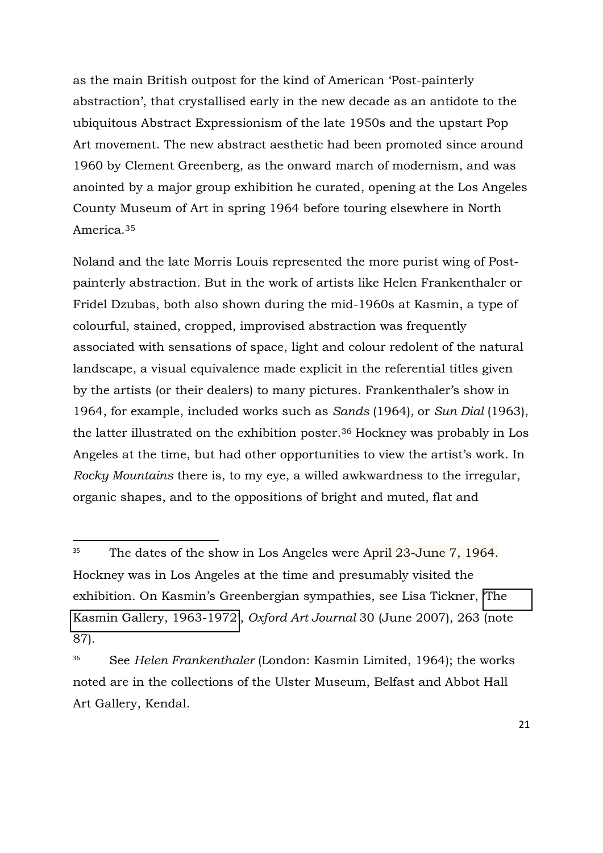as the main British outpost for the kind of American 'Post-painterly abstraction', that crystallised early in the new decade as an antidote to the ubiquitous Abstract Expressionism of the late 1950s and the upstart Pop Art movement. The new abstract aesthetic had been promoted since around 1960 by Clement Greenberg, as the onward march of modernism, and was anointed by a major group exhibition he curated, opening at the Los Angeles County Museum of Art in spring 1964 before touring elsewhere in North America.<sup>35</sup>

Noland and the late Morris Louis represented the more purist wing of Postpainterly abstraction. But in the work of artists like Helen Frankenthaler or Fridel Dzubas, both also shown during the mid-1960s at Kasmin, a type of colourful, stained, cropped, improvised abstraction was frequently associated with sensations of space, light and colour redolent of the natural landscape, a visual equivalence made explicit in the referential titles given by the artists (or their dealers) to many pictures. Frankenthaler's show in 1964, for example, included works such as *Sands* (1964)*,* or *Sun Dial* (1963), the latter illustrated on the exhibition poster.<sup>36</sup> Hockney was probably in Los Angeles at the time, but had other opportunities to view the artist's work. In *Rocky Mountains* there is, to my eye, a willed awkwardness to the irregular, organic shapes, and to the oppositions of bright and muted, flat and

<sup>&</sup>lt;sup>35</sup> The dates of the show in Los Angeles were April 23-June 7, 1964. Hockney was in Los Angeles at the time and presumably visited the exhibition. On Kasmin's Greenbergian sympathies, see Lisa Tickner, '[The](http://oaj.oxfordjournals.org/cgi/content/short/30/2/233)  [Kasmin Gallery, 1963-1972](http://oaj.oxfordjournals.org/cgi/content/short/30/2/233)', *Oxford Art Journal* 30 (June 2007), 263 (note 87).

<sup>36</sup> See *Helen Frankenthaler* (London: Kasmin Limited, 1964); the works noted are in the collections of the Ulster Museum, Belfast and Abbot Hall Art Gallery, Kendal.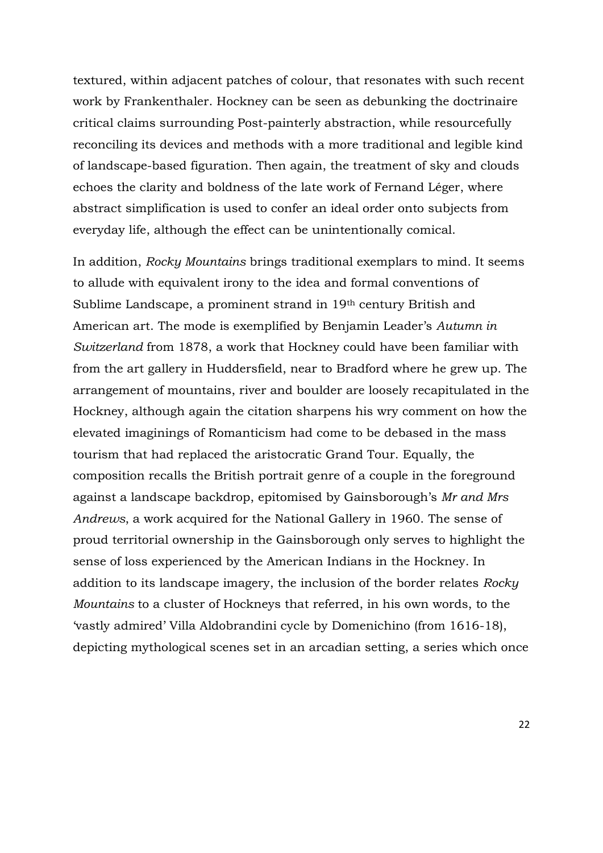textured, within adjacent patches of colour, that resonates with such recent work by Frankenthaler. Hockney can be seen as debunking the doctrinaire critical claims surrounding Post-painterly abstraction, while resourcefully reconciling its devices and methods with a more traditional and legible kind of landscape-based figuration. Then again, the treatment of sky and clouds echoes the clarity and boldness of the late work of Fernand Léger, where abstract simplification is used to confer an ideal order onto subjects from everyday life, although the effect can be unintentionally comical.

In addition, *Rocky Mountains* brings traditional exemplars to mind. It seems to allude with equivalent irony to the idea and formal conventions of Sublime Landscape, a prominent strand in 19th century British and American art. The mode is exemplified by Benjamin Leader's *Autumn in Switzerland* from 1878, a work that Hockney could have been familiar with from the art gallery in Huddersfield, near to Bradford where he grew up. The arrangement of mountains, river and boulder are loosely recapitulated in the Hockney, although again the citation sharpens his wry comment on how the elevated imaginings of Romanticism had come to be debased in the mass tourism that had replaced the aristocratic Grand Tour. Equally, the composition recalls the British portrait genre of a couple in the foreground against a landscape backdrop, epitomised by Gainsborough's *Mr and Mrs Andrews*, a work acquired for the National Gallery in 1960. The sense of proud territorial ownership in the Gainsborough only serves to highlight the sense of loss experienced by the American Indians in the Hockney. In addition to its landscape imagery, the inclusion of the border relates *Rocky Mountains* to a cluster of Hockneys that referred, in his own words, to the 'vastly admired' Villa Aldobrandini cycle by Domenichino (from 1616-18), depicting mythological scenes set in an arcadian setting, a series which once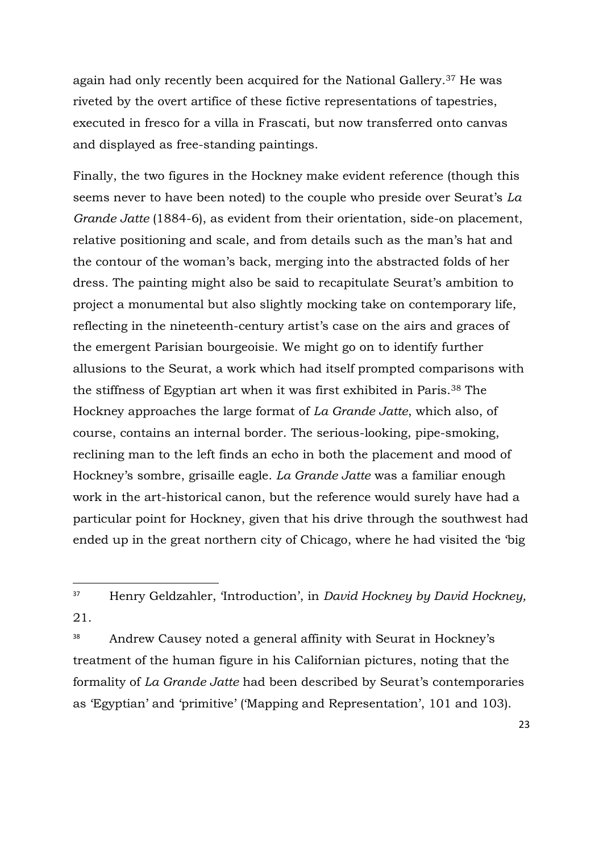again had only recently been acquired for the National Gallery.<sup>37</sup> He was riveted by the overt artifice of these fictive representations of tapestries, executed in fresco for a villa in Frascati, but now transferred onto canvas and displayed as free-standing paintings.

Finally, the two figures in the Hockney make evident reference (though this seems never to have been noted) to the couple who preside over Seurat's *La Grande Jatte* (1884-6), as evident from their orientation, side-on placement, relative positioning and scale, and from details such as the man's hat and the contour of the woman's back, merging into the abstracted folds of her dress. The painting might also be said to recapitulate Seurat's ambition to project a monumental but also slightly mocking take on contemporary life, reflecting in the nineteenth-century artist's case on the airs and graces of the emergent Parisian bourgeoisie. We might go on to identify further allusions to the Seurat, a work which had itself prompted comparisons with the stiffness of Egyptian art when it was first exhibited in Paris.<sup>38</sup> The Hockney approaches the large format of *La Grande Jatte*, which also, of course, contains an internal border. The serious-looking, pipe-smoking, reclining man to the left finds an echo in both the placement and mood of Hockney's sombre, grisaille eagle. *La Grande Jatte* was a familiar enough work in the art-historical canon, but the reference would surely have had a particular point for Hockney, given that his drive through the southwest had ended up in the great northern city of Chicago, where he had visited the 'big

 $\overline{a}$ 

38 Andrew Causey noted a general affinity with Seurat in Hockney's treatment of the human figure in his Californian pictures, noting that the formality of *La Grande Jatte* had been described by Seurat's contemporaries as 'Egyptian' and 'primitive' ('Mapping and Representation', 101 and 103).

<sup>37</sup> Henry Geldzahler, 'Introduction', in *David Hockney by David Hockney,*  21.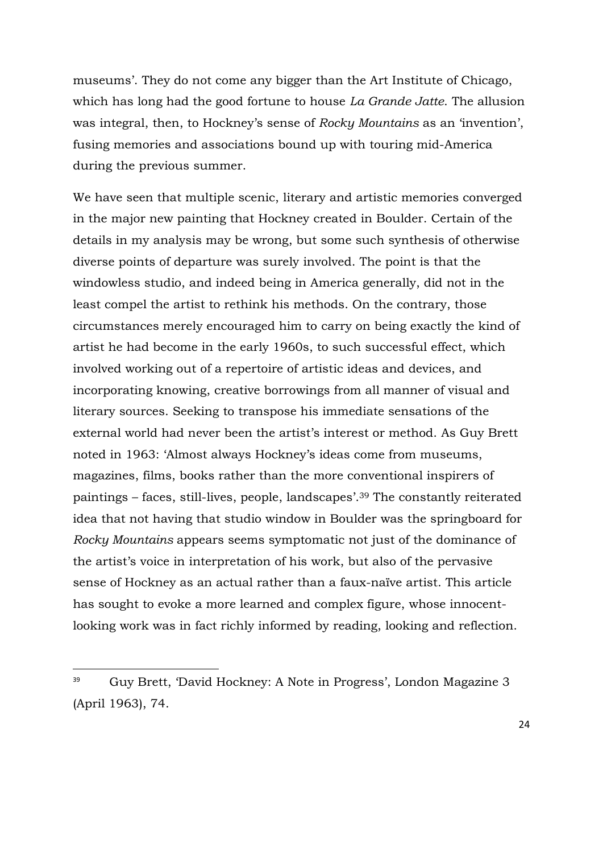museums'. They do not come any bigger than the Art Institute of Chicago, which has long had the good fortune to house *La Grande Jatte*. The allusion was integral, then, to Hockney's sense of *Rocky Mountains* as an 'invention', fusing memories and associations bound up with touring mid-America during the previous summer.

We have seen that multiple scenic, literary and artistic memories converged in the major new painting that Hockney created in Boulder. Certain of the details in my analysis may be wrong, but some such synthesis of otherwise diverse points of departure was surely involved. The point is that the windowless studio, and indeed being in America generally, did not in the least compel the artist to rethink his methods. On the contrary, those circumstances merely encouraged him to carry on being exactly the kind of artist he had become in the early 1960s, to such successful effect, which involved working out of a repertoire of artistic ideas and devices, and incorporating knowing, creative borrowings from all manner of visual and literary sources. Seeking to transpose his immediate sensations of the external world had never been the artist's interest or method. As Guy Brett noted in 1963: 'Almost always Hockney's ideas come from museums, magazines, films, books rather than the more conventional inspirers of paintings – faces, still-lives, people, landscapes'.<sup>39</sup> The constantly reiterated idea that not having that studio window in Boulder was the springboard for *Rocky Mountains* appears seems symptomatic not just of the dominance of the artist's voice in interpretation of his work, but also of the pervasive sense of Hockney as an actual rather than a faux-naïve artist. This article has sought to evoke a more learned and complex figure, whose innocentlooking work was in fact richly informed by reading, looking and reflection.

<sup>39</sup> Guy Brett, 'David Hockney: A Note in Progress', London Magazine 3 (April 1963), 74.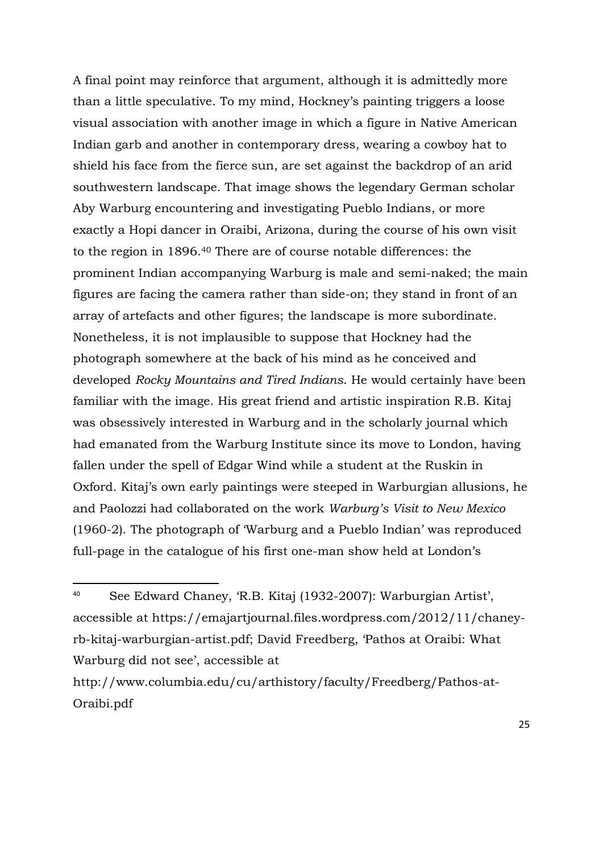A final point may reinforce that argument, although it is admittedly more than a little speculative. To my mind, Hockney's painting triggers a loose visual association with another image in which a figure in Native American Indian garb and another in contemporary dress, wearing a cowboy hat to shield his face from the fierce sun, are set against the backdrop of an arid southwestern landscape. That image shows the legendary German scholar Aby Warburg encountering and investigating Pueblo Indians, or more exactly a Hopi dancer in Oraibi, Arizona, during the course of his own visit to the region in 1896.<sup>40</sup> There are of course notable differences: the prominent Indian accompanying Warburg is male and semi-naked; the main figures are facing the camera rather than side-on; they stand in front of an array of artefacts and other figures; the landscape is more subordinate. Nonetheless, it is not implausible to suppose that Hockney had the photograph somewhere at the back of his mind as he conceived and developed *Rocky Mountains and Tired Indians*. He would certainly have been familiar with the image. His great friend and artistic inspiration R.B. Kitaj was obsessively interested in Warburg and in the scholarly journal which had emanated from the Warburg Institute since its move to London, having fallen under the spell of Edgar Wind while a student at the Ruskin in Oxford. Kitaj's own early paintings were steeped in Warburgian allusions, he and Paolozzi had collaborated on the work *Warburg's Visit to New Mexico* (1960-2). The photograph of 'Warburg and a Pueblo Indian' was reproduced full-page in the catalogue of his first one-man show held at London's

<sup>40</sup> See Edward Chaney, 'R.B. Kitaj (1932-2007): Warburgian Artist', accessible at https://emajartjournal.files.wordpress.com/2012/11/chaneyrb-kitaj-warburgian-artist.pdf; David Freedberg, 'Pathos at Oraibi: What Warburg did not see', accessible at

http://www.columbia.edu/cu/arthistory/faculty/Freedberg/Pathos-at-Oraibi.pdf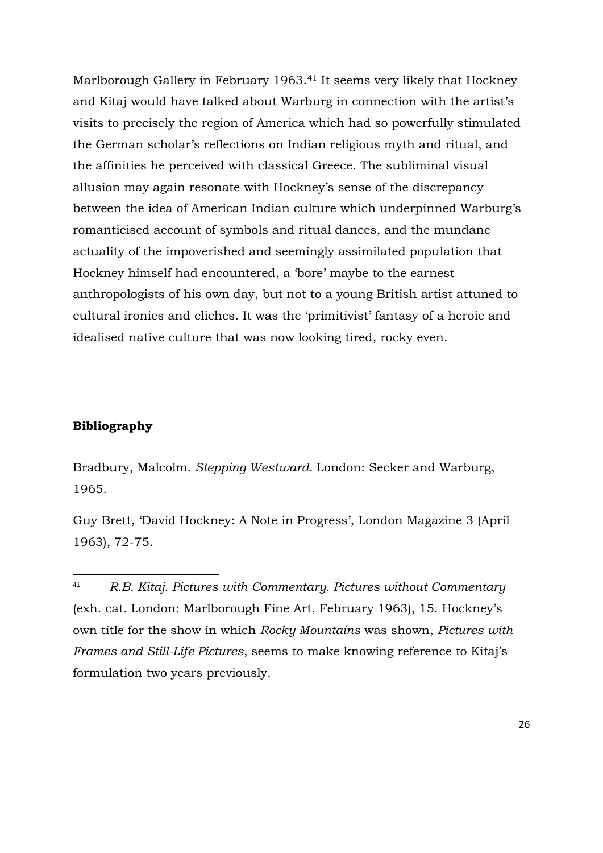Marlborough Gallery in February 1963.<sup>41</sup> It seems very likely that Hockney and Kitaj would have talked about Warburg in connection with the artist's visits to precisely the region of America which had so powerfully stimulated the German scholar's reflections on Indian religious myth and ritual, and the affinities he perceived with classical Greece. The subliminal visual allusion may again resonate with Hockney's sense of the discrepancy between the idea of American Indian culture which underpinned Warburg's romanticised account of symbols and ritual dances, and the mundane actuality of the impoverished and seemingly assimilated population that Hockney himself had encountered, a 'bore' maybe to the earnest anthropologists of his own day, but not to a young British artist attuned to cultural ironies and cliches. It was the 'primitivist' fantasy of a heroic and idealised native culture that was now looking tired, rocky even.

#### **Bibliography**

 $\overline{a}$ 

Bradbury, Malcolm. *Stepping Westward.* London: Secker and Warburg, 1965.

Guy Brett, 'David Hockney: A Note in Progress', London Magazine 3 (April 1963), 72-75.

<sup>41</sup> *R.B. Kitaj. Pictures with Commentary. Pictures without Commentary* (exh. cat. London: Marlborough Fine Art, February 1963), 15. Hockney's own title for the show in which *Rocky Mountains* was shown, *Pictures with Frames and Still-Life Pictures*, seems to make knowing reference to Kitaj's formulation two years previously.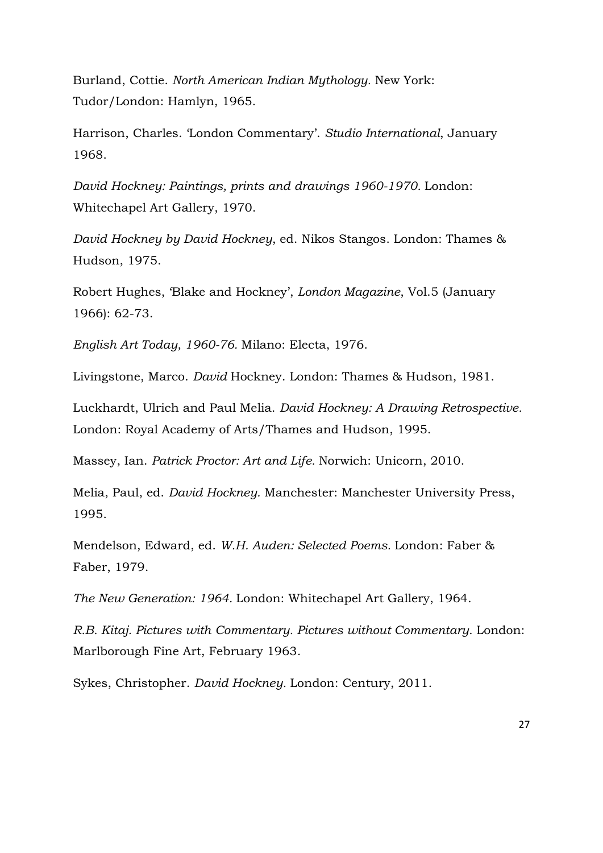Burland, Cottie. *North American Indian Mythology.* New York: Tudor/London: Hamlyn, 1965.

Harrison, Charles. 'London Commentary'. *Studio International*, January 1968.

*David Hockney: Paintings, prints and drawings 1960-1970.* London: Whitechapel Art Gallery, 1970.

*David Hockney by David Hockney*, ed. Nikos Stangos. London: Thames & Hudson, 1975.

Robert Hughes, 'Blake and Hockney', *London Magazine*, Vol.5 (January 1966): 62-73.

*English Art Today, 1960-76.* Milano: Electa, 1976.

Livingstone, Marco. *David* Hockney. London: Thames & Hudson, 1981.

Luckhardt, Ulrich and Paul Melia. *David Hockney: A Drawing Retrospective.* London: Royal Academy of Arts/Thames and Hudson, 1995.

Massey, Ian. *Patrick Proctor: Art and Life.* Norwich: Unicorn, 2010.

Melia, Paul, ed. *David Hockney.* Manchester: Manchester University Press, 1995.

Mendelson, Edward, ed. *W.H. Auden: Selected Poems.* London: Faber & Faber, 1979.

*The New Generation: 1964.* London: Whitechapel Art Gallery, 1964.

*R.B. Kitaj. Pictures with Commentary. Pictures without Commentary.* London: Marlborough Fine Art, February 1963.

Sykes, Christopher. *David Hockney.* London: Century, 2011.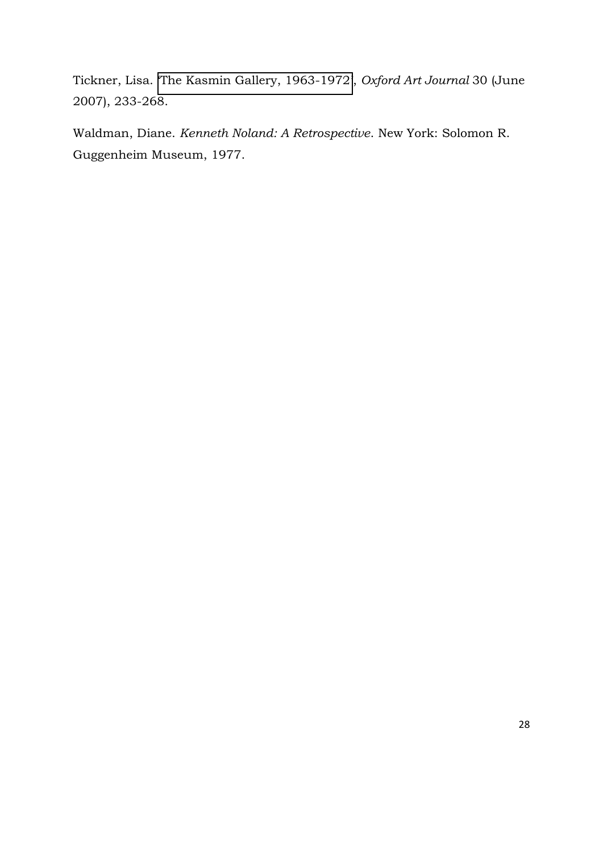Tickner, Lisa. '[The Kasmin Gallery, 1963-1972](http://oaj.oxfordjournals.org/cgi/content/short/30/2/233)', *Oxford Art Journal* 30 (June 2007), 233-268.

Waldman, Diane. *Kenneth Noland: A Retrospective*. New York: Solomon R. Guggenheim Museum, 1977.